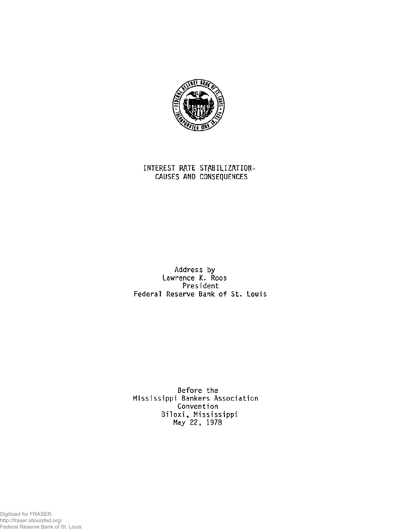

## **INTEREST RATE STABILIZATION-CAUSES AND CONSEQUENCES**

**Address by Lawrence K. Roos President Federal Reserve Bank of St. Louis** 

**Before the Mississippi Bankers Association Convention Biloxi, Mississippi May 22, 1978** 

Digitized for FRASER http://fraser.stlouisfed.org/ Federal Reserve Bank of St. Louis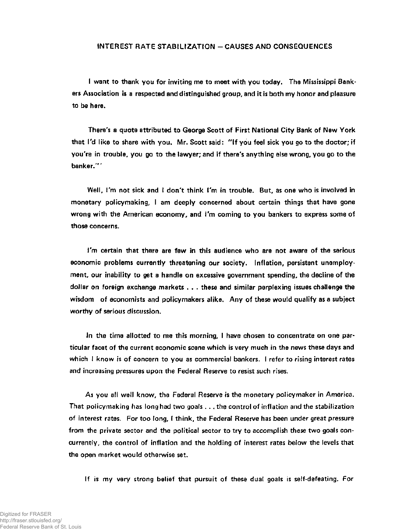## **INTEREST RATE STABILIZATION - CAUSES AND CONSEQUENCES**

**I want to thank you for inviting me to meet with you today. The Mississippi Bankers Association is a respected and distinguished group, and it is both my honor and pleasure to be here.** 

**There's a quote attributed to George Scott of First National City Bank of New York that I'd like to share with you. Mr. Scott said: "If you feel sick you go to the doctor; if you're in trouble, you go to the lawyer; and if there's anything else wrong, you go to the banker.'"** 

**Well, I'm not sick and I don't think I'm in trouble. But, as one who is involved in monetary policymaking, I am deeply concerned about certain things that have gone wrong with the American economy, and I'm coming to you bankers to express some of those concerns.** 

**I'm certain that there are few in this audience who are not aware of the serious economic problems currently threatening our society. Inflation, persistent unemployment, our inability to get a handle on excessive government spending, the decline of the dollar on foreign exchange markets . . . these and similar perplexing issues challenge the wisdom of economists and policymakers alike. Any of these would qualify as a subject worthy of serious discussion.** 

**In the time allotted to me this morning, I have chosen to concentrate on one particular facet of the current economic scene which is very much in the news these days and which I know is of concern to you as commercial bankers. I refer to rising interest rates and increasing pressures upon the Federal Reserve to resist such rises.** 

**As you all well know, the Federal Reserve is the monetary policymaker in America. That policymaking has long had two goals . . . the control of inflation and the stabilization of interest rates. For too long, I think, the Federal Reserve has been under great pressure from the private sector and the political sector to try to accomplish these two goals concurrently, the control of inflation and the holding of interest rates below the levels that the open market would otherwise set.** 

**If is my very strong belief that pursuit of these dual goals is self-defeating. For**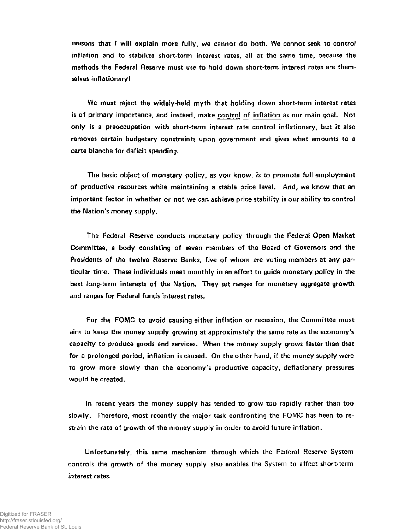**reasons that I will explain more fully, we cannot do both. We cannot seek to control inflation and to stabilize short-term interest rates, all at the same time, because the methods the Federal Reserve must use to hold down short-term interest rates are themselves inflationary!** 

**We must reject the widely-held myth that holding down short-term interest rates is of primary importance, and instead, make control of inflation as our main goal. Not only is a preoccupation with short-term interest rate control inflationary, but it also removes certain budgetary constraints upon government and gives what amounts to a carte blanche for deficit spending.** 

**The basic object of monetary policy, as you know, is to promote full employment of productive resources while maintaining a stable price level. And, we know that an important factor in whether or not we can achieve price stability is our ability to control the Nation's money supply.** 

**The Federal Reserve conducts monetary policy through the Federal Open Market Committee, a body consisting of seven members of the Board of Governors and the Presidents of the twelve Reserve Banks, five of whom are voting members at any particular time. These individuals meet monthly in an effort to guide monetary policy in the best long-term interests of the Nation. They set ranges for monetary aggregate growth and ranges for Federal funds interest rates.** 

**For the FOMC to avoid causing either inflation or recession, the Committee must aim to keep the money supply growing at approximately the same rate as the economy's capacity to produce goods and services. When the money supply grows faster than that for a prolonged period, inflation is caused. On the other hand, if the money supply were to grow more slowly than the economy's productive capacity, deflationary pressures would be created.** 

**In recent years the money supply has tended to grow too rapidly rather than too slowly. Therefore, most recently the major task confronting the FOMC has been to restrain the rate of growth of the money supply in order to avoid future inflation.** 

**Unfortunately, this same mechanism through which the Federal Reserve System controls the growth of the money supply also enables the System to affect short-term interest rates.**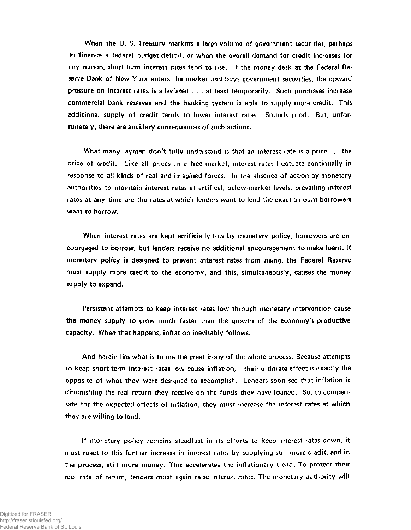**When the U. S. Treasury markets a large volume of government securities, perhaps to finance a federal budget deficit, or when the overall demand for credit increases for any reason, short-term interest rates tend to rise. If the money desk at the Federal Reserve Bank of New York enters the market and buys government securities, the upward pressure on interest rates is alleviated .. . at least temporarily. Such purchases increase commercial bank reserves and the banking system is able to supply more credit. This additional supply of credit tends to lower interest rates. Sounds good. But, unfortunately, there are ancillary consequences of such actions.** 

**What many laymen don't fully understand is that an interest rate is a price . . . the price of credit. Like all prices in a free market, interest rates fluctuate continually in response to all kinds of real and imagined forces. In the absence of action by monetary authorities to maintain interest rates at artifical, below-market levels, prevailing interest rates at any time are the rates at which lenders want to lend the exact amount borrowers want to borrow.** 

**When interest rates are kept artificially low by monetary policy, borrowers are encourgaged to borrow, but lenders receive no additional encouragement to make loans. If monetary policy is designed to prevent interest rates from rising, the Federal Reserve must supply more credit to the economy, and this, simultaneously, causes the money supply to expand.** 

**Persistent attempts to keep interest rates low through monetary intervention cause the money supply to grow much faster than the growth of the economy's productive capacity. When that happens, inflation inevitably follows.** 

**And herein lies what is to me the great irony of the whole process: Because attempts to keep short-term interest rates low cause inflation, their ultimate effect is exactly the opposite of what they were designed to accomplish. Lenders soon see that inflation is diminishing the real return they receive on the funds they have loaned. So, to compensate for the expected effects of inflation, they must increase the interest rates at which they are willing to lend.** 

**If monetary policy remains steadfast in its efforts to keep interest rates down, it must react to this further increase in interest rates by supplying still more credit, and in the process, still more money. This accelerates the inflationary trend. To protect their real rate of return, lenders must again raise interest rates. The monetary authority will**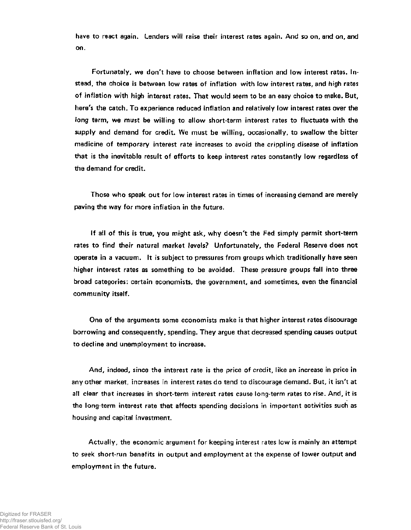have to react again. Lenders will raise their interest rates again. And so on, and on, and **on.** 

**Fortunately, we don't have to choose between inflation and low interest rates. Instead, the choice is between low rates of inflation with low interest rates, and high rates of inflation with high interest rates. That would seem to be an easy choice to make. But, here's the catch. To experience reduced inflation and relatively low interest rates over the long term, we must be willing to allow short-term interest rates to fluctuate with the supply and demand for credit. We must be willing, occasionally, to swallow the bitter medicine of temporary interest rate increases to avoid the crippling disease of inflation that is the inevitable result of efforts to keep interest rates constantly low regardless of the demand for credit.** 

**Those who speak out for low interest rates in times of increasing demand are merely paving the way for more inflation in the future.** 

**If all of this is true, you might ask, why doesn't the Fed simply permit short-term rates to find their natural market levels? Unfortunately, the Federal Reserve does not operate in a vacuum. It is subject to pressures from groups which traditionally have seen higher interest rates as something to be avoided. These pressure groups fall into three broad categories: certain economists, the government, and sometimes, even the financial community itself.** 

**One of the arguments some economists make is that higher interest rates discourage borrowing and consequently, spending. They argue that decreased spending causes output to decline and unemployment to increase.** 

**And, indeed, since the interest rate is the price of credit, like an increase in price in any other market, increases in interest rates do tend to discourage demand. But, it isn't at all clear that increases in short-term interest rates cause long-term rates to rise. And, it is the long-term interest rate that affects spending decisions in important activities such as housing and capital investment.** 

**Actually, the economic argument for keeping interest rates low is mainly an attempt to seek short-run benefits in output and employment at the expense of lower output and employment in the future.**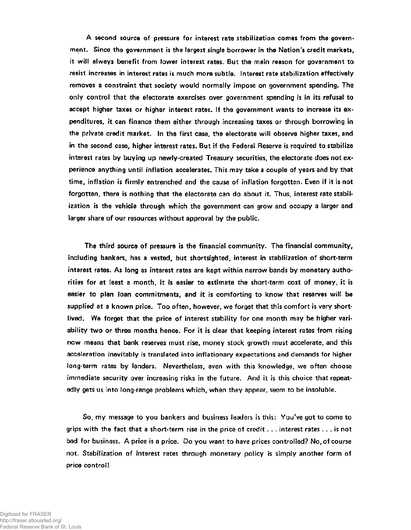**A second source of pressure for interest rate stabilization comes from the government. Since the government is the largest single borrower in the Nation's credit markets, it will always benefit from lower interest rates. But the main reason for government to resist increases in interest rates is much more subtle. Interest rate stabilization effectively removes a constraint that society would normally impose on government spending. The only control that the electorate exercises over government spending is in its refusal to accept higher taxes or higher interest rates. If the government wants to increase its expenditures, it can finance them either through increasing taxes or through borrowing in the private credit market. In the first case, the electorate will observe higher taxes, and in the second case, higher interest rates. But if the Federal Reserve is required to stabilize interest rates by buying up newly-created Treasury securities, the electorate does not experience anything until inflation accelerates. This may take a couple of years and by that time, inflation is firmly entrenched and the cause of inflation forgotten. Even if it is not forgotten, there is nothing that the electorate can do about it. Thus, interest rate stabilization is the vehicle through which the government can grow and occupy a larger and larger share of our resources without approval by the public.** 

**The third source of pressure is the financial community. The financial community, including bankers, has a vested, but shortsighted, interest in stabilization of short-term interest rates. As long as interest rates are kept within narrow bands by monetary authorities for at least a month, it is easier to estimate the short-term cost of money, it is easier to plan loan commitments, and it is comforting to know that reserves will be supplied at a known price. Too often, however, we forget that this comfort is very shortlived. We forget that the price of interest stability for one month may be higher variability two or three months hence. For it is clear that keeping interest rates from rising now means that bank reserves must rise, money stock growth must accelerate, and this acceleration inevitably is translated into inflationary expectations and demands for higher long-term rates by lenders. Nevertheless, even with this knowledge, we often choose immediate security over increasing risks in the future. And it is this choice that repeatedly gets us into long-range problems which, when they appear, seem to be insoluble.** 

**So, my message to you bankers and business leaders is this: You've got to come to grips with the fact that a short-term rise in the price of credit . . . interest rates ... is not bad for business. A price is a price. Do you want to have prices controlled? No, of course not. Stabilization of interest rates through monetary policy is simply another form of**  price control!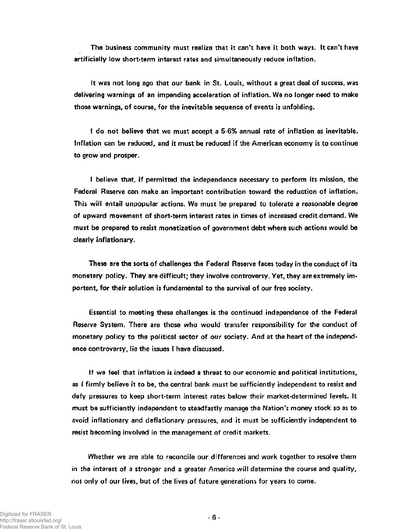**The business community must realize that it can't have it both ways. It can't have artificially low short-term interest rates and simultaneously reduce inflation.** 

**It was not long ago that our bank in St. Louis, without a great deal of success, was delivering warnings of an impending acceleration of inflation. We no longer need to make those warnings, of course, for the inevitable sequence of events is unfolding.** 

**I do not believe that we must accept a 5-6% annual rate of inflation as inevitable. Inflation can be reduced, and it must be reduced if the American economy is to continue to grow and prosper.** 

**I believe that, if permitted the independence necessary to perform its mission, the Federal Reserve can make an important contribution toward the reduction of inflation. This will entail unpopular actions. We must be prepared to tolerate a reasonable degree of upward movement of short-term interest rates in times of increased credit demand. We must be prepared to resist monetization of government debt where such actions would be clearly inflationary.** 

**These are the sorts of challenges the Federal Reserve faces today in the conduct of its monetary policy. They are difficult; they involve controversy. Yet, they are extremely important, for their solution is fundamental to the survival of our free society.** 

**Essential to meeting these challenges is the continued independence of the Federal Reserve System. There are those who would transfer responsibility for the conduct of monetary policy to the political sector of our society. And at the heart of the independence controversy, lie the issues I have discussed.** 

**If we feel that inflation is indeed a threat to our economic and political institutions, as I firmly believe it to be, the central bank must be sufficiently independent to resist and defy pressures to keep short-term interest rates below their market-determined levels. It must be sufficiently independent to steadfastly manage the Nation's money stock so as to avoid inflationary and deflationary pressures, and it must be sufficiently independent to resist becoming involved in the management of credit markets.** 

**Whether we are able to reconcile our differences and work together to resolve them in the interest of a stronger and a greater America will determine the course and quality, not only of our lives, but of the lives of future generations for years to come.**